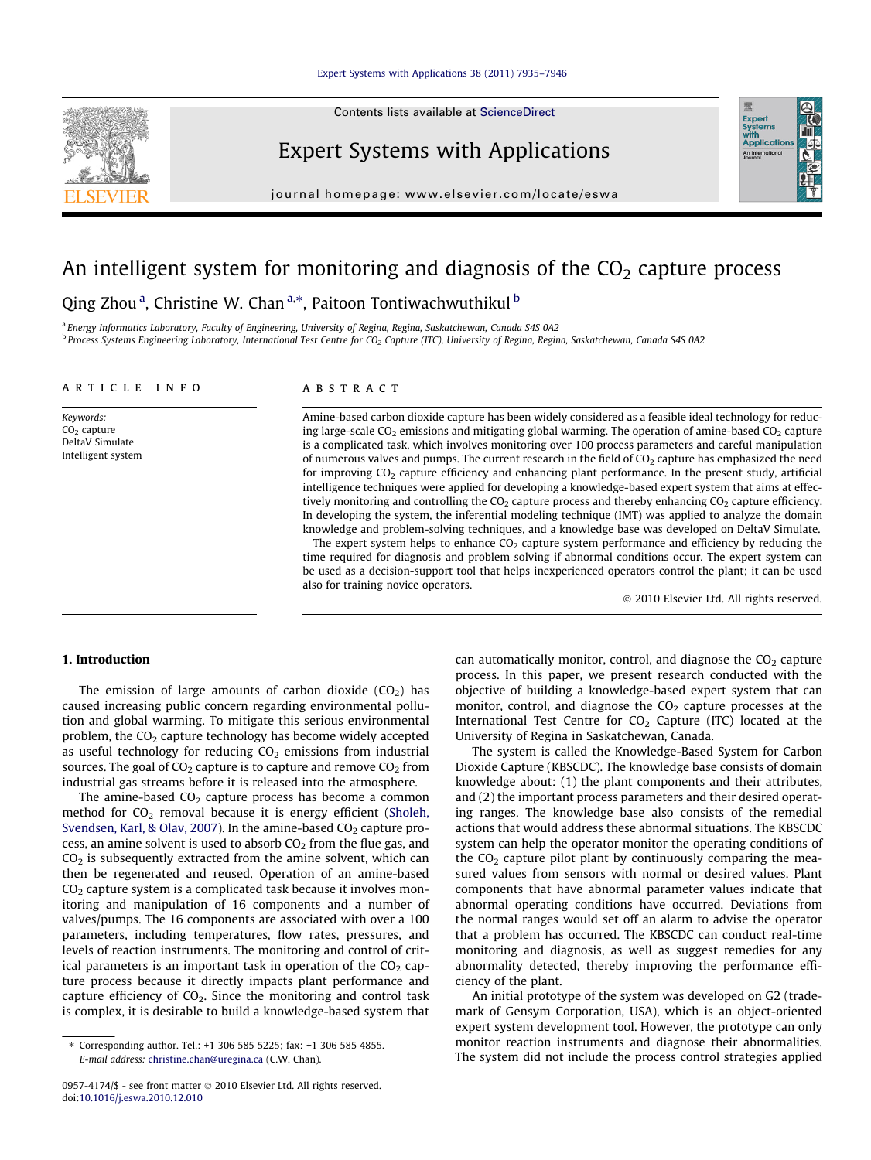

Contents lists available at [ScienceDirect](http://www.sciencedirect.com/science/journal/09574174)

### Expert Systems with Applications

journal homepage: [www.elsevier.com/locate/eswa](http://www.elsevier.com/locate/eswa)

## An intelligent system for monitoring and diagnosis of the  $CO<sub>2</sub>$  capture process

Qing Zhou<sup>a</sup>, Christine W. Chan<sup>a,\*</sup>, Paitoon Tontiwachwuthikul <sup>b</sup>

<sup>a</sup> Energy Informatics Laboratory, Faculty of Engineering, University of Regina, Regina, Saskatchewan, Canada S4S 0A2  $b$  Process Systems Engineering Laboratory, International Test Centre for CO<sub>2</sub> Capture (ITC), University of Regina, Regina, Saskatchewan, Canada S4S 0A2

#### article info

Keywords:  $CO<sub>2</sub>$  capture DeltaV Simulate Intelligent system

#### **ABSTRACT**

Amine-based carbon dioxide capture has been widely considered as a feasible ideal technology for reducing large-scale  $CO<sub>2</sub>$  emissions and mitigating global warming. The operation of amine-based  $CO<sub>2</sub>$  capture is a complicated task, which involves monitoring over 100 process parameters and careful manipulation of numerous valves and pumps. The current research in the field of  $CO<sub>2</sub>$  capture has emphasized the need for improving CO<sub>2</sub> capture efficiency and enhancing plant performance. In the present study, artificial intelligence techniques were applied for developing a knowledge-based expert system that aims at effectively monitoring and controlling the  $CO<sub>2</sub>$  capture process and thereby enhancing  $CO<sub>2</sub>$  capture efficiency. In developing the system, the inferential modeling technique (IMT) was applied to analyze the domain knowledge and problem-solving techniques, and a knowledge base was developed on DeltaV Simulate.

The expert system helps to enhance  $CO<sub>2</sub>$  capture system performance and efficiency by reducing the time required for diagnosis and problem solving if abnormal conditions occur. The expert system can be used as a decision-support tool that helps inexperienced operators control the plant; it can be used also for training novice operators.

- 2010 Elsevier Ltd. All rights reserved.

Expert<br>Systems<br>with<br>Applical

#### 1. Introduction

The emission of large amounts of carbon dioxide  $(CO<sub>2</sub>)$  has caused increasing public concern regarding environmental pollution and global warming. To mitigate this serious environmental problem, the  $CO<sub>2</sub>$  capture technology has become widely accepted as useful technology for reducing  $CO<sub>2</sub>$  emissions from industrial sources. The goal of  $CO<sub>2</sub>$  capture is to capture and remove  $CO<sub>2</sub>$  from industrial gas streams before it is released into the atmosphere.

The amine-based  $CO<sub>2</sub>$  capture process has become a common method for  $CO<sub>2</sub>$  removal because it is energy efficient [\(Sholeh,](#page--1-0) [Svendsen, Karl, & Olav, 2007\)](#page--1-0). In the amine-based  $CO<sub>2</sub>$  capture process, an amine solvent is used to absorb  $CO<sub>2</sub>$  from the flue gas, and  $CO<sub>2</sub>$  is subsequently extracted from the amine solvent, which can then be regenerated and reused. Operation of an amine-based  $CO<sub>2</sub>$  capture system is a complicated task because it involves monitoring and manipulation of 16 components and a number of valves/pumps. The 16 components are associated with over a 100 parameters, including temperatures, flow rates, pressures, and levels of reaction instruments. The monitoring and control of critical parameters is an important task in operation of the  $CO<sub>2</sub>$  capture process because it directly impacts plant performance and capture efficiency of  $CO<sub>2</sub>$ . Since the monitoring and control task is complex, it is desirable to build a knowledge-based system that

can automatically monitor, control, and diagnose the  $CO<sub>2</sub>$  capture process. In this paper, we present research conducted with the objective of building a knowledge-based expert system that can monitor, control, and diagnose the  $CO<sub>2</sub>$  capture processes at the International Test Centre for  $CO<sub>2</sub>$  Capture (ITC) located at the University of Regina in Saskatchewan, Canada.

The system is called the Knowledge-Based System for Carbon Dioxide Capture (KBSCDC). The knowledge base consists of domain knowledge about: (1) the plant components and their attributes, and (2) the important process parameters and their desired operating ranges. The knowledge base also consists of the remedial actions that would address these abnormal situations. The KBSCDC system can help the operator monitor the operating conditions of the  $CO<sub>2</sub>$  capture pilot plant by continuously comparing the measured values from sensors with normal or desired values. Plant components that have abnormal parameter values indicate that abnormal operating conditions have occurred. Deviations from the normal ranges would set off an alarm to advise the operator that a problem has occurred. The KBSCDC can conduct real-time monitoring and diagnosis, as well as suggest remedies for any abnormality detected, thereby improving the performance efficiency of the plant.

An initial prototype of the system was developed on G2 (trademark of Gensym Corporation, USA), which is an object-oriented expert system development tool. However, the prototype can only monitor reaction instruments and diagnose their abnormalities. The system did not include the process control strategies applied

<sup>⇑</sup> Corresponding author. Tel.: +1 306 585 5225; fax: +1 306 585 4855. E-mail address: [christine.chan@uregina.ca](mailto:christine.chan@uregina.ca) (C.W. Chan).

<sup>0957-4174/\$ -</sup> see front matter © 2010 Elsevier Ltd. All rights reserved. doi[:10.1016/j.eswa.2010.12.010](http://dx.doi.org/10.1016/j.eswa.2010.12.010)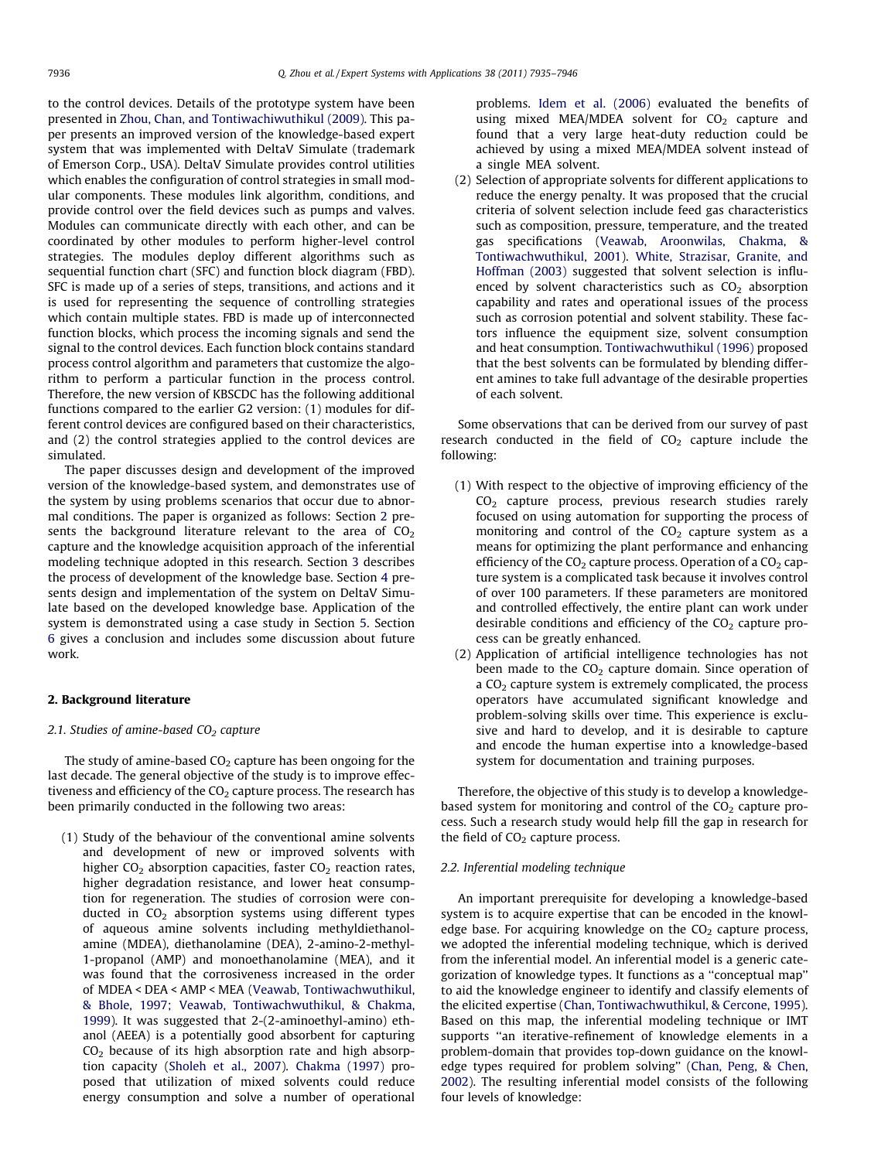to the control devices. Details of the prototype system have been presented in [Zhou, Chan, and Tontiwachiwuthikul \(2009\).](#page--1-0) This paper presents an improved version of the knowledge-based expert system that was implemented with DeltaV Simulate (trademark of Emerson Corp., USA). DeltaV Simulate provides control utilities which enables the configuration of control strategies in small modular components. These modules link algorithm, conditions, and provide control over the field devices such as pumps and valves. Modules can communicate directly with each other, and can be coordinated by other modules to perform higher-level control strategies. The modules deploy different algorithms such as sequential function chart (SFC) and function block diagram (FBD). SFC is made up of a series of steps, transitions, and actions and it is used for representing the sequence of controlling strategies which contain multiple states. FBD is made up of interconnected function blocks, which process the incoming signals and send the signal to the control devices. Each function block contains standard process control algorithm and parameters that customize the algorithm to perform a particular function in the process control. Therefore, the new version of KBSCDC has the following additional functions compared to the earlier G2 version: (1) modules for different control devices are configured based on their characteristics, and (2) the control strategies applied to the control devices are simulated.

The paper discusses design and development of the improved version of the knowledge-based system, and demonstrates use of the system by using problems scenarios that occur due to abnormal conditions. The paper is organized as follows: Section 2 presents the background literature relevant to the area of  $CO<sub>2</sub>$ capture and the knowledge acquisition approach of the inferential modeling technique adopted in this research. Section [3](#page--1-0) describes the process of development of the knowledge base. Section [4](#page--1-0) presents design and implementation of the system on DeltaV Simulate based on the developed knowledge base. Application of the system is demonstrated using a case study in Section [5.](#page--1-0) Section [6](#page--1-0) gives a conclusion and includes some discussion about future work.

#### 2. Background literature

#### 2.1. Studies of amine-based  $CO<sub>2</sub>$  capture

The study of amine-based  $CO<sub>2</sub>$  capture has been ongoing for the last decade. The general objective of the study is to improve effectiveness and efficiency of the  $CO<sub>2</sub>$  capture process. The research has been primarily conducted in the following two areas:

(1) Study of the behaviour of the conventional amine solvents and development of new or improved solvents with higher  $CO<sub>2</sub>$  absorption capacities, faster  $CO<sub>2</sub>$  reaction rates, higher degradation resistance, and lower heat consumption for regeneration. The studies of corrosion were conducted in  $CO<sub>2</sub>$  absorption systems using different types of aqueous amine solvents including methyldiethanolamine (MDEA), diethanolamine (DEA), 2-amino-2-methyl-1-propanol (AMP) and monoethanolamine (MEA), and it was found that the corrosiveness increased in the order of MDEA < DEA < AMP < MEA [\(Veawab, Tontiwachwuthikul,](#page--1-0) [& Bhole, 1997; Veawab, Tontiwachwuthikul, & Chakma,](#page--1-0) [1999\)](#page--1-0). It was suggested that 2-(2-aminoethyl-amino) ethanol (AEEA) is a potentially good absorbent for capturing  $CO<sub>2</sub>$  because of its high absorption rate and high absorption capacity ([Sholeh et al., 2007\)](#page--1-0). [Chakma \(1997\)](#page--1-0) proposed that utilization of mixed solvents could reduce energy consumption and solve a number of operational

problems. [Idem et al. \(2006\)](#page--1-0) evaluated the benefits of using mixed MEA/MDEA solvent for  $CO<sub>2</sub>$  capture and found that a very large heat-duty reduction could be achieved by using a mixed MEA/MDEA solvent instead of a single MEA solvent.

(2) Selection of appropriate solvents for different applications to reduce the energy penalty. It was proposed that the crucial criteria of solvent selection include feed gas characteristics such as composition, pressure, temperature, and the treated gas specifications ([Veawab, Aroonwilas, Chakma, &](#page--1-0) [Tontiwachwuthikul, 2001](#page--1-0)). [White, Strazisar, Granite, and](#page--1-0) [Hoffman \(2003\)](#page--1-0) suggested that solvent selection is influenced by solvent characteristics such as  $CO<sub>2</sub>$  absorption capability and rates and operational issues of the process such as corrosion potential and solvent stability. These factors influence the equipment size, solvent consumption and heat consumption. [Tontiwachwuthikul \(1996\)](#page--1-0) proposed that the best solvents can be formulated by blending different amines to take full advantage of the desirable properties of each solvent.

Some observations that can be derived from our survey of past research conducted in the field of  $CO<sub>2</sub>$  capture include the following:

- (1) With respect to the objective of improving efficiency of the CO<sub>2</sub> capture process, previous research studies rarely focused on using automation for supporting the process of monitoring and control of the  $CO<sub>2</sub>$  capture system as a means for optimizing the plant performance and enhancing efficiency of the  $CO<sub>2</sub>$  capture process. Operation of a  $CO<sub>2</sub>$  capture system is a complicated task because it involves control of over 100 parameters. If these parameters are monitored and controlled effectively, the entire plant can work under desirable conditions and efficiency of the  $CO<sub>2</sub>$  capture process can be greatly enhanced.
- (2) Application of artificial intelligence technologies has not been made to the  $CO<sub>2</sub>$  capture domain. Since operation of a  $CO<sub>2</sub>$  capture system is extremely complicated, the process operators have accumulated significant knowledge and problem-solving skills over time. This experience is exclusive and hard to develop, and it is desirable to capture and encode the human expertise into a knowledge-based system for documentation and training purposes.

Therefore, the objective of this study is to develop a knowledgebased system for monitoring and control of the  $CO<sub>2</sub>$  capture process. Such a research study would help fill the gap in research for the field of  $CO<sub>2</sub>$  capture process.

#### 2.2. Inferential modeling technique

An important prerequisite for developing a knowledge-based system is to acquire expertise that can be encoded in the knowledge base. For acquiring knowledge on the  $CO<sub>2</sub>$  capture process, we adopted the inferential modeling technique, which is derived from the inferential model. An inferential model is a generic categorization of knowledge types. It functions as a ''conceptual map'' to aid the knowledge engineer to identify and classify elements of the elicited expertise ([Chan, Tontiwachwuthikul, & Cercone, 1995\)](#page--1-0). Based on this map, the inferential modeling technique or IMT supports ''an iterative-refinement of knowledge elements in a problem-domain that provides top-down guidance on the knowledge types required for problem solving'' ([Chan, Peng, & Chen,](#page--1-0) [2002\)](#page--1-0). The resulting inferential model consists of the following four levels of knowledge: